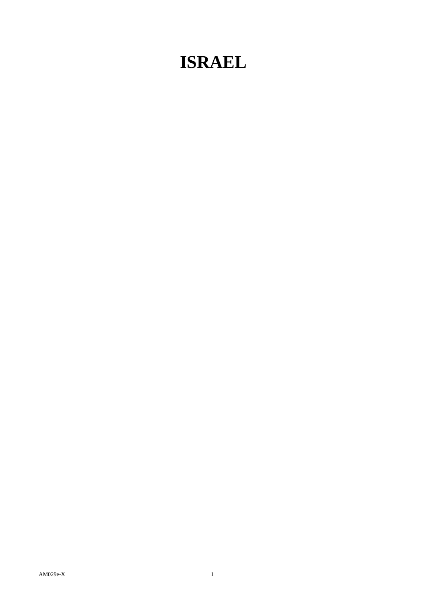## **ISRAEL**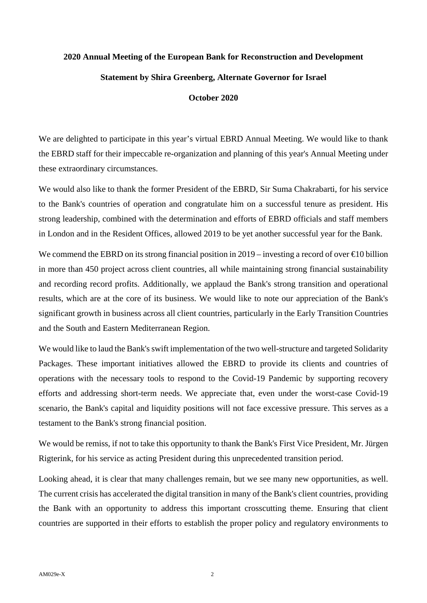## **2020 Annual Meeting of the European Bank for Reconstruction and Development Statement by Shira Greenberg, Alternate Governor for Israel**

## **October 2020**

We are delighted to participate in this year's virtual EBRD Annual Meeting. We would like to thank the EBRD staff for their impeccable re-organization and planning of this year's Annual Meeting under these extraordinary circumstances.

We would also like to thank the former President of the EBRD, Sir Suma Chakrabarti, for his service to the Bank's countries of operation and congratulate him on a successful tenure as president. His strong leadership, combined with the determination and efforts of EBRD officials and staff members in London and in the Resident Offices, allowed 2019 to be yet another successful year for the Bank.

We commend the EBRD on its strong financial position in  $2019$  – investing a record of over  $\text{\textsterling}10$  billion in more than 450 project across client countries, all while maintaining strong financial sustainability and recording record profits. Additionally, we applaud the Bank's strong transition and operational results, which are at the core of its business. We would like to note our appreciation of the Bank's significant growth in business across all client countries, particularly in the Early Transition Countries and the South and Eastern Mediterranean Region.

We would like to laud the Bank's swift implementation of the two well-structure and targeted Solidarity Packages. These important initiatives allowed the EBRD to provide its clients and countries of operations with the necessary tools to respond to the Covid-19 Pandemic by supporting recovery efforts and addressing short-term needs. We appreciate that, even under the worst-case Covid-19 scenario, the Bank's capital and liquidity positions will not face excessive pressure. This serves as a testament to the Bank's strong financial position.

We would be remiss, if not to take this opportunity to thank the Bank's First Vice President, Mr. Jürgen Rigterink, for his service as acting President during this unprecedented transition period.

Looking ahead, it is clear that many challenges remain, but we see many new opportunities, as well. The current crisis has accelerated the digital transition in many of the Bank's client countries, providing the Bank with an opportunity to address this important crosscutting theme. Ensuring that client countries are supported in their efforts to establish the proper policy and regulatory environments to